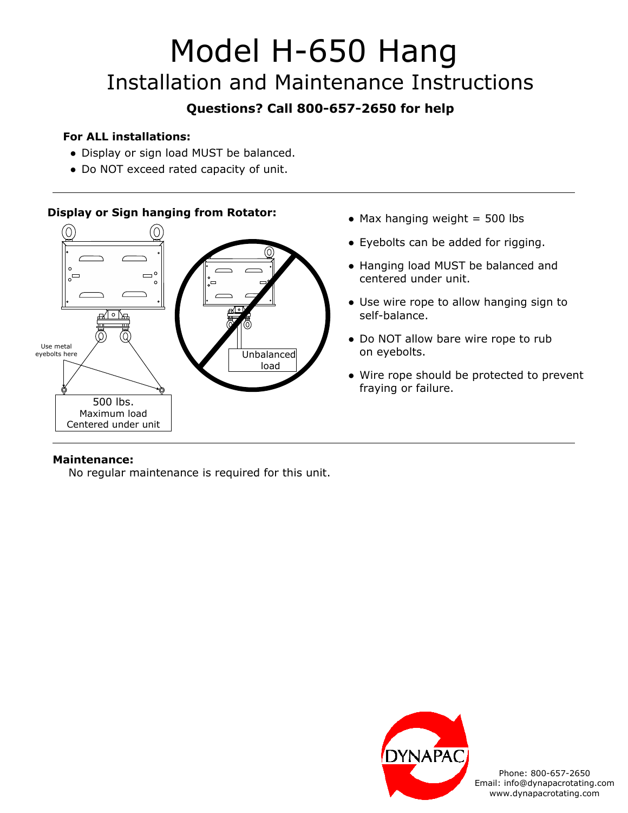# Model H-650 Hang Installation and Maintenance Instructions

### **Questions? Call 800-657-2650 for help**

#### **For ALL installations:**

- Display or sign load MUST be balanced.
- Do NOT exceed rated capacity of unit.

#### **Display or Sign hanging from Rotator:**



- $\bullet$  Max hanging weight = 500 lbs
- Eyebolts can be added for rigging.
- Hanging load MUST be balanced and centered under unit.
- Use wire rope to allow hanging sign to self-balance.
- Do NOT allow bare wire rope to rub on eyebolts.
- Wire rope should be protected to prevent fraying or failure.

#### **Maintenance:**

No regular maintenance is required for this unit.